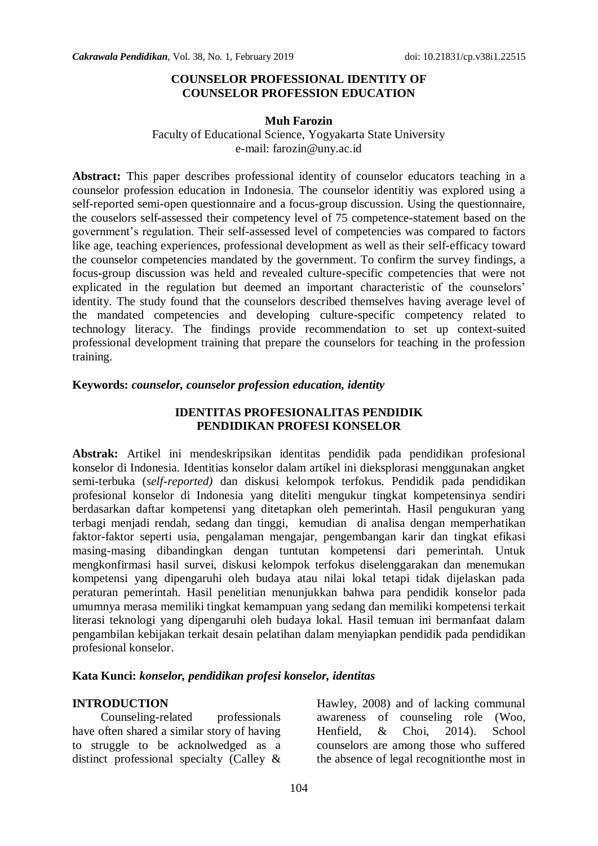#### **COUNSELOR PROFESSIONAL IDENTITY OF COUNSELOR PROFESSION EDUCATION**

#### **Muh Farozin**

### Faculty of Educational Science, Yogyakarta State University e-mail: farozin@uny.ac.id

**Abstract:** This paper describes professional identity of counselor educators teaching in a counselor profession education in Indonesia. The counselor identitiy was explored using a self-reported semi-open questionnaire and a focus-group discussion. Using the questionnaire, the couselors self-assessed their competency level of 75 competence-statement based on the government's regulation. Their self-assessed level of competencies was compared to factors like age, teaching experiences, professional development as well as their self-efficacy toward the counselor competencies mandated by the government. To confirm the survey findings, a focus-group discussion was held and revealed culture-specific competencies that were not explicated in the regulation but deemed an important characteristic of the counselors' identity. The study found that the counselors described themselves having average level of the mandated competencies and developing culture-specific competency related to technology literacy. The findings provide recommendation to set up context-suited professional development training that prepare the counselors for teaching in the profession training.

#### **Keywords:** *counselor, counselor profession education, identity*

### **IDENTITAS PROFESIONALITAS PENDIDIK PENDIDIKAN PROFESI KONSELOR**

**Abstrak:** Artikel ini mendeskripsikan identitas pendidik pada pendidikan profesional konselor di Indonesia. Identitias konselor dalam artikel ini dieksplorasi menggunakan angket semi-terbuka (*self-reported)* dan diskusi kelompok terfokus. Pendidik pada pendidikan profesional konselor di Indonesia yang diteliti mengukur tingkat kompetensinya sendiri berdasarkan daftar kompetensi yang ditetapkan oleh pemerintah. Hasil pengukuran yang terbagi menjadi rendah, sedang dan tinggi, kemudian di analisa dengan memperhatikan faktor-faktor seperti usia, pengalaman mengajar, pengembangan karir dan tingkat efikasi masing-masing dibandingkan dengan tuntutan kompetensi dari pemerintah. Untuk mengkonfirmasi hasil survei, diskusi kelompok terfokus diselenggarakan dan menemukan kompetensi yang dipengaruhi oleh budaya atau nilai lokal tetapi tidak dijelaskan pada peraturan pemerintah. Hasil penelitian menunjukkan bahwa para pendidik konselor pada umumnya merasa memiliki tingkat kemampuan yang sedang dan memiliki kompetensi terkait literasi teknologi yang dipengaruhi oleh budaya lokal. Hasil temuan ini bermanfaat dalam pengambilan kebijakan terkait desain pelatihan dalam menyiapkan pendidik pada pendidikan profesional konselor.

## **Kata Kunci:** *konselor, pendidikan profesi konselor, identitas*

#### **INTRODUCTION**

Counseling-related professionals have often shared a similar story of having to struggle to be acknolwedged as a distinct professional specialty (Calley &

Hawley, 2008) and of lacking communal awareness of counseling role (Woo, Henfield, & Choi, 2014). School counselors are among those who suffered the absence of legal recognitionthe most in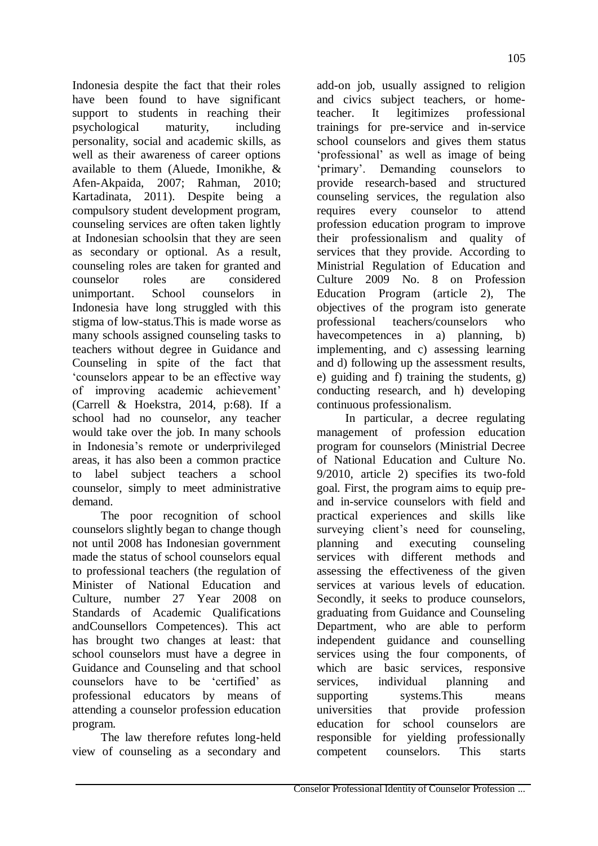Indonesia despite the fact that their roles have been found to have significant support to students in reaching their psychological maturity, including personality, social and academic skills, as well as their awareness of career options available to them (Aluede, Imonikhe, & Afen-Akpaida, 2007; Rahman, 2010; Kartadinata, 2011). Despite being a compulsory student development program, counseling services are often taken lightly at Indonesian schoolsin that they are seen as secondary or optional. As a result, counseling roles are taken for granted and counselor roles are considered unimportant. School counselors in Indonesia have long struggled with this stigma of low-status.This is made worse as many schools assigned counseling tasks to teachers without degree in Guidance and Counseling in spite of the fact that "counselors appear to be an effective way of improving academic achievement" (Carrell & Hoekstra, 2014, p:68). If a school had no counselor, any teacher would take over the job. In many schools in Indonesia"s remote or underprivileged areas, it has also been a common practice to label subject teachers a school counselor, simply to meet administrative demand.

The poor recognition of school counselors slightly began to change though not until 2008 has Indonesian government made the status of school counselors equal to professional teachers (the regulation of Minister of National Education and Culture, number 27 Year 2008 on Standards of Academic Qualifications andCounsellors Competences). This act has brought two changes at least: that school counselors must have a degree in Guidance and Counseling and that school counselors have to be "certified" as professional educators by means of attending a counselor profession education program.

The law therefore refutes long-held view of counseling as a secondary and

add-on job, usually assigned to religion and civics subject teachers, or hometeacher. It legitimizes professional trainings for pre-service and in-service school counselors and gives them status "professional" as well as image of being "primary". Demanding counselors to provide research-based and structured counseling services, the regulation also requires every counselor to attend profession education program to improve their professionalism and quality of services that they provide. According to Ministrial Regulation of Education and Culture 2009 No. 8 on Profession Education Program (article 2), The objectives of the program isto generate professional teachers/counselors who havecompetences in a) planning, b) implementing, and c) assessing learning and d) following up the assessment results, e) guiding and f) training the students, g) conducting research, and h) developing continuous professionalism.

In particular, a decree regulating management of profession education program for counselors (Ministrial Decree of National Education and Culture No. 9/2010, article 2) specifies its two-fold goal. First, the program aims to equip preand in-service counselors with field and practical experiences and skills like surveying client's need for counseling, planning and executing counseling services with different methods and assessing the effectiveness of the given services at various levels of education. Secondly, it seeks to produce counselors, graduating from Guidance and Counseling Department, who are able to perform independent guidance and counselling services using the four components, of which are basic services, responsive services, individual planning and supporting systems. This means universities that provide profession education for school counselors are responsible for yielding professionally competent counselors. This starts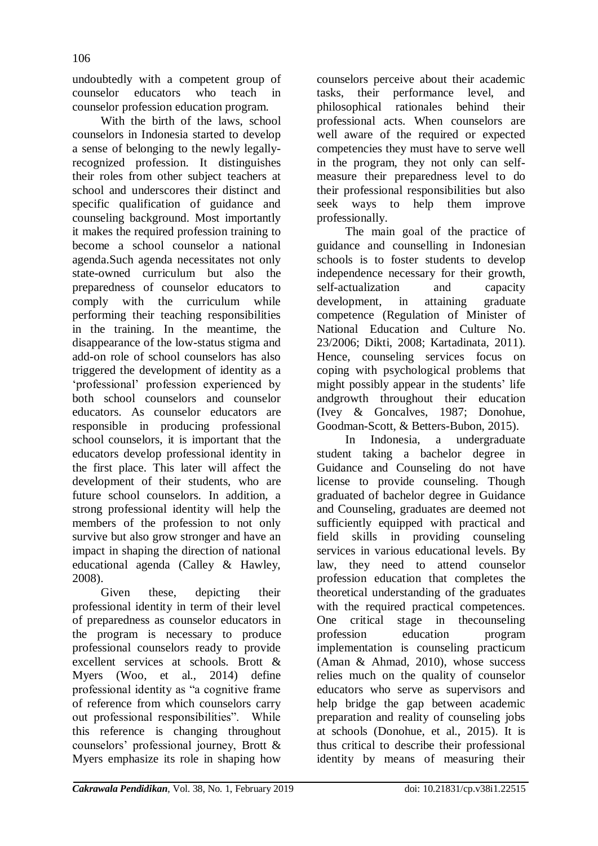undoubtedly with a competent group of counselor educators who teach in counselor profession education program.

With the birth of the laws, school counselors in Indonesia started to develop a sense of belonging to the newly legallyrecognized profession. It distinguishes their roles from other subject teachers at school and underscores their distinct and specific qualification of guidance and counseling background. Most importantly it makes the required profession training to become a school counselor a national agenda.Such agenda necessitates not only state-owned curriculum but also the preparedness of counselor educators to comply with the curriculum while performing their teaching responsibilities in the training. In the meantime, the disappearance of the low-status stigma and add-on role of school counselors has also triggered the development of identity as a 'professional' profession experienced by both school counselors and counselor educators. As counselor educators are responsible in producing professional school counselors, it is important that the educators develop professional identity in the first place. This later will affect the development of their students, who are future school counselors. In addition, a strong professional identity will help the members of the profession to not only survive but also grow stronger and have an impact in shaping the direction of national educational agenda (Calley & Hawley, 2008).

Given these, depicting their professional identity in term of their level of preparedness as counselor educators in the program is necessary to produce professional counselors ready to provide excellent services at schools. Brott & Myers (Woo, et al., 2014) define professional identity as "a cognitive frame of reference from which counselors carry out professional responsibilities". While this reference is changing throughout counselors" professional journey, Brott & Myers emphasize its role in shaping how

counselors perceive about their academic tasks, their performance level, and philosophical rationales behind their professional acts. When counselors are well aware of the required or expected competencies they must have to serve well in the program, they not only can selfmeasure their preparedness level to do their professional responsibilities but also seek ways to help them improve professionally.

The main goal of the practice of guidance and counselling in Indonesian schools is to foster students to develop independence necessary for their growth, self-actualization and capacity development, in attaining graduate competence (Regulation of Minister of National Education and Culture No. 23/2006; Dikti, 2008; Kartadinata, 2011). Hence, counseling services focus on coping with psychological problems that might possibly appear in the students' life andgrowth throughout their education (Ivey & Goncalves, 1987; Donohue, Goodman-Scott, & Betters-Bubon, 2015).

In Indonesia, a undergraduate student taking a bachelor degree in Guidance and Counseling do not have license to provide counseling. Though graduated of bachelor degree in Guidance and Counseling, graduates are deemed not sufficiently equipped with practical and field skills in providing counseling services in various educational levels. By law, they need to attend counselor profession education that completes the theoretical understanding of the graduates with the required practical competences. One critical stage in thecounseling profession education program implementation is counseling practicum (Aman & Ahmad, 2010), whose success relies much on the quality of counselor educators who serve as supervisors and help bridge the gap between academic preparation and reality of counseling jobs at schools (Donohue, et al., 2015). It is thus critical to describe their professional identity by means of measuring their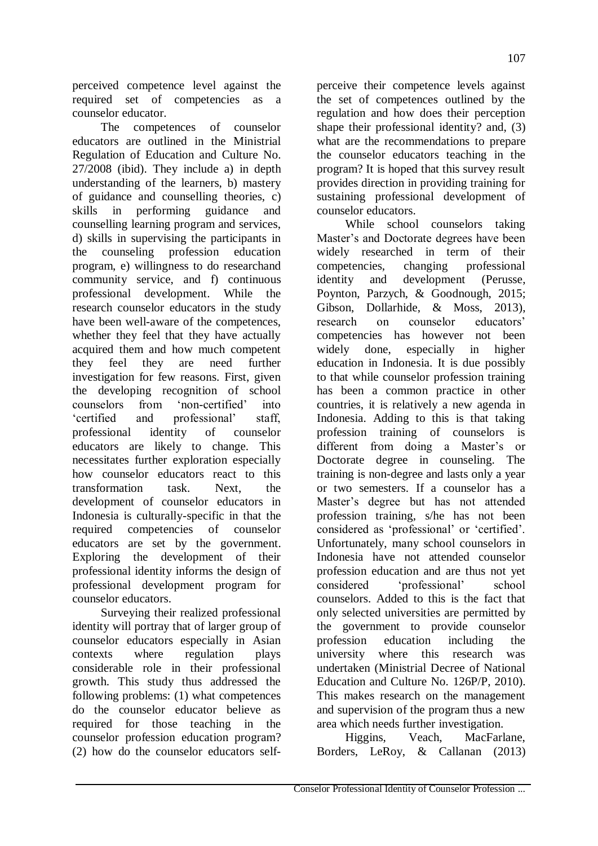perceived competence level against the required set of competencies as a counselor educator.

The competences of counselor educators are outlined in the Ministrial Regulation of Education and Culture No. 27/2008 (ibid). They include a) in depth understanding of the learners, b) mastery of guidance and counselling theories, c) skills in performing guidance and counselling learning program and services, d) skills in supervising the participants in the counseling profession education program, e) willingness to do researchand community service, and f) continuous professional development. While the research counselor educators in the study have been well-aware of the competences, whether they feel that they have actually acquired them and how much competent they feel they are need further investigation for few reasons. First, given the developing recognition of school counselors from 'non-certified' into "certified and professional" staff, professional identity of counselor educators are likely to change. This necessitates further exploration especially how counselor educators react to this transformation task. Next, the development of counselor educators in Indonesia is culturally-specific in that the required competencies of counselor educators are set by the government. Exploring the development of their professional identity informs the design of professional development program for counselor educators.

Surveying their realized professional identity will portray that of larger group of counselor educators especially in Asian contexts where regulation plays considerable role in their professional growth. This study thus addressed the following problems: (1) what competences do the counselor educator believe as required for those teaching in the counselor profession education program? (2) how do the counselor educators self-

perceive their competence levels against the set of competences outlined by the regulation and how does their perception shape their professional identity? and, (3) what are the recommendations to prepare the counselor educators teaching in the program? It is hoped that this survey result provides direction in providing training for sustaining professional development of counselor educators.

While school counselors taking Master's and Doctorate degrees have been widely researched in term of their competencies, changing professional identity and development (Perusse, Poynton, Parzych, & Goodnough, 2015; Gibson, Dollarhide, & Moss, 2013), research on counselor educators" competencies has however not been widely done, especially in higher education in Indonesia. It is due possibly to that while counselor profession training has been a common practice in other countries, it is relatively a new agenda in Indonesia. Adding to this is that taking profession training of counselors is different from doing a Master's or Doctorate degree in counseling. The training is non-degree and lasts only a year or two semesters. If a counselor has a Master"s degree but has not attended profession training, s/he has not been considered as 'professional' or 'certified'. Unfortunately, many school counselors in Indonesia have not attended counselor profession education and are thus not yet considered "professional" school counselors. Added to this is the fact that only selected universities are permitted by the government to provide counselor profession education including the university where this research was undertaken (Ministrial Decree of National Education and Culture No. 126P/P, 2010). This makes research on the management and supervision of the program thus a new area which needs further investigation.

Higgins, Veach, MacFarlane, Borders, LeRoy, & Callanan (2013)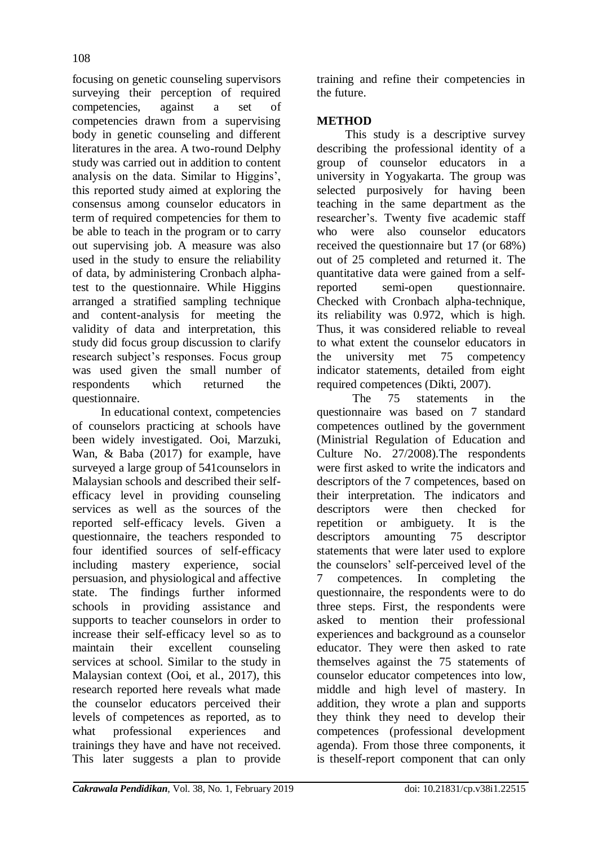focusing on genetic counseling supervisors surveying their perception of required competencies, against a set of competencies drawn from a supervising body in genetic counseling and different literatures in the area. A two-round Delphy study was carried out in addition to content analysis on the data. Similar to Higgins", this reported study aimed at exploring the consensus among counselor educators in term of required competencies for them to be able to teach in the program or to carry out supervising job. A measure was also used in the study to ensure the reliability of data, by administering Cronbach alphatest to the questionnaire. While Higgins arranged a stratified sampling technique and content-analysis for meeting the validity of data and interpretation, this study did focus group discussion to clarify research subject"s responses. Focus group was used given the small number of respondents which returned the questionnaire.

In educational context, competencies of counselors practicing at schools have been widely investigated. Ooi, Marzuki, Wan, & Baba (2017) for example, have surveyed a large group of 541counselors in Malaysian schools and described their selfefficacy level in providing counseling services as well as the sources of the reported self-efficacy levels. Given a questionnaire, the teachers responded to four identified sources of self-efficacy including mastery experience, social persuasion, and physiological and affective state. The findings further informed schools in providing assistance and supports to teacher counselors in order to increase their self-efficacy level so as to maintain their excellent counseling services at school. Similar to the study in Malaysian context (Ooi, et al., 2017), this research reported here reveals what made the counselor educators perceived their levels of competences as reported, as to what professional experiences and trainings they have and have not received. This later suggests a plan to provide

training and refine their competencies in the future.

# **METHOD**

This study is a descriptive survey describing the professional identity of a group of counselor educators in a university in Yogyakarta. The group was selected purposively for having been teaching in the same department as the researcher"s. Twenty five academic staff who were also counselor educators received the questionnaire but 17 (or 68%) out of 25 completed and returned it. The quantitative data were gained from a selfreported semi-open questionnaire. Checked with Cronbach alpha-technique, its reliability was 0.972, which is high. Thus, it was considered reliable to reveal to what extent the counselor educators in the university met 75 competency indicator statements, detailed from eight required competences (Dikti, 2007).

The 75 statements in the questionnaire was based on 7 standard competences outlined by the government (Ministrial Regulation of Education and Culture No. 27/2008).The respondents were first asked to write the indicators and descriptors of the 7 competences, based on their interpretation. The indicators and descriptors were then checked for repetition or ambiguety. It is the descriptors amounting 75 descriptor statements that were later used to explore the counselors" self-perceived level of the 7 competences. In completing the questionnaire, the respondents were to do three steps. First, the respondents were asked to mention their professional experiences and background as a counselor educator. They were then asked to rate themselves against the 75 statements of counselor educator competences into low, middle and high level of mastery. In addition, they wrote a plan and supports they think they need to develop their competences (professional development agenda). From those three components, it is theself-report component that can only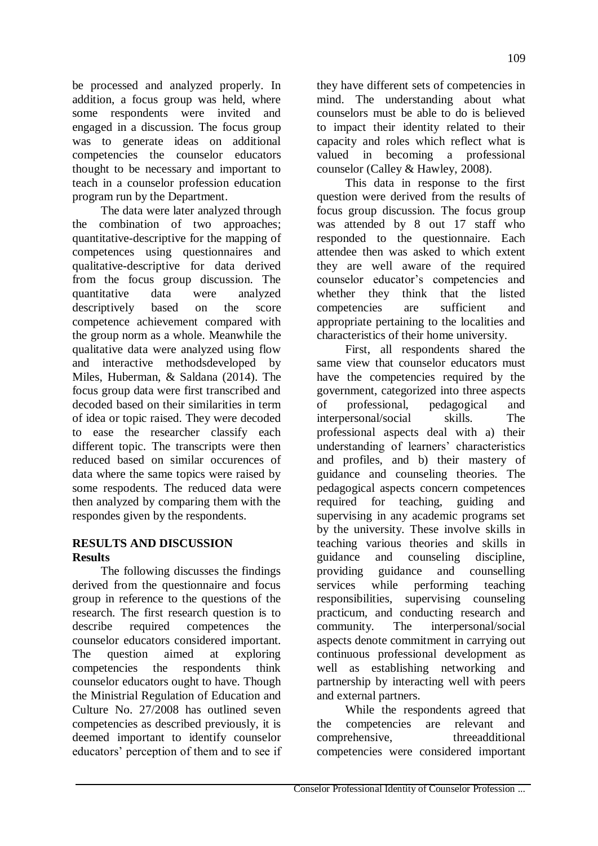be processed and analyzed properly. In addition, a focus group was held, where some respondents were invited and engaged in a discussion. The focus group was to generate ideas on additional competencies the counselor educators thought to be necessary and important to teach in a counselor profession education program run by the Department.

The data were later analyzed through the combination of two approaches; quantitative-descriptive for the mapping of competences using questionnaires and qualitative-descriptive for data derived from the focus group discussion. The quantitative data were analyzed descriptively based on the score competence achievement compared with the group norm as a whole. Meanwhile the qualitative data were analyzed using flow and interactive methodsdeveloped by Miles, Huberman, & Saldana (2014). The focus group data were first transcribed and decoded based on their similarities in term of idea or topic raised. They were decoded to ease the researcher classify each different topic. The transcripts were then reduced based on similar occurences of data where the same topics were raised by some respodents. The reduced data were then analyzed by comparing them with the respondes given by the respondents.

## **RESULTS AND DISCUSSION Results**

The following discusses the findings derived from the questionnaire and focus group in reference to the questions of the research. The first research question is to describe required competences the counselor educators considered important. The question aimed at exploring competencies the respondents think counselor educators ought to have. Though the Ministrial Regulation of Education and Culture No. 27/2008 has outlined seven competencies as described previously, it is deemed important to identify counselor educators' perception of them and to see if they have different sets of competencies in mind. The understanding about what counselors must be able to do is believed to impact their identity related to their capacity and roles which reflect what is valued in becoming a professional counselor (Calley & Hawley, 2008).

This data in response to the first question were derived from the results of focus group discussion. The focus group was attended by 8 out 17 staff who responded to the questionnaire. Each attendee then was asked to which extent they are well aware of the required counselor educator"s competencies and whether they think that the listed competencies are sufficient and appropriate pertaining to the localities and characteristics of their home university.

First, all respondents shared the same view that counselor educators must have the competencies required by the government, categorized into three aspects of professional, pedagogical and interpersonal/social skills. The professional aspects deal with a) their understanding of learners' characteristics and profiles, and b) their mastery of guidance and counseling theories. The pedagogical aspects concern competences required for teaching, guiding and supervising in any academic programs set by the university. These involve skills in teaching various theories and skills in guidance and counseling discipline, providing guidance and counselling services while performing teaching responsibilities, supervising counseling practicum*,* and conducting research and community. The interpersonal/social aspects denote commitment in carrying out continuous professional development as well as establishing networking and partnership by interacting well with peers and external partners.

While the respondents agreed that the competencies are relevant and comprehensive, threeadditional competencies were considered important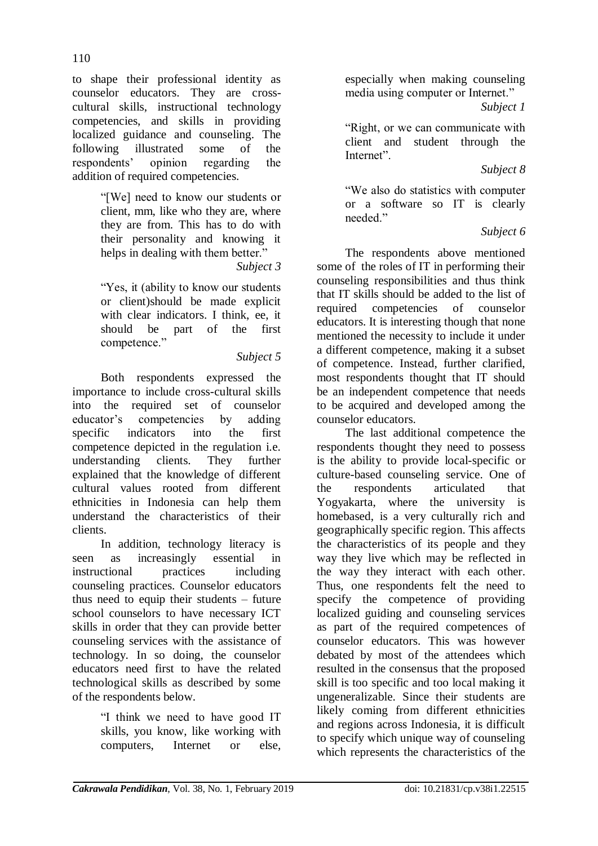110

to shape their professional identity as counselor educators. They are crosscultural skills, instructional technology competencies, and skills in providing localized guidance and counseling. The following illustrated some of the respondents" opinion regarding the addition of required competencies.

> "[We] need to know our students or client, mm, like who they are, where they are from. This has to do with their personality and knowing it helps in dealing with them better." *Subject 3*

> "Yes, it (ability to know our students or client)should be made explicit with clear indicators. I think, ee, it should be part of the first competence."

### *Subject 5*

Both respondents expressed the importance to include cross-cultural skills into the required set of counselor educator"s competencies by adding specific indicators into the first competence depicted in the regulation i.e. understanding clients. They further explained that the knowledge of different cultural values rooted from different ethnicities in Indonesia can help them understand the characteristics of their clients.

In addition, technology literacy is seen as increasingly essential in instructional practices including counseling practices. Counselor educators thus need to equip their students – future school counselors to have necessary ICT skills in order that they can provide better counseling services with the assistance of technology. In so doing, the counselor educators need first to have the related technological skills as described by some of the respondents below.

> "I think we need to have good IT skills, you know, like working with computers, Internet or else,

especially when making counseling media using computer or Internet."

*Subject 1*

"Right, or we can communicate with client and student through the Internet".

## *Subject 8*

"We also do statistics with computer or a software so IT is clearly needed"

## *Subject 6*

The respondents above mentioned some of the roles of IT in performing their counseling responsibilities and thus think that IT skills should be added to the list of required competencies of counselor educators. It is interesting though that none mentioned the necessity to include it under a different competence, making it a subset of competence. Instead, further clarified, most respondents thought that IT should be an independent competence that needs to be acquired and developed among the counselor educators.

The last additional competence the respondents thought they need to possess is the ability to provide local-specific or culture-based counseling service. One of the respondents articulated that Yogyakarta, where the university is homebased, is a very culturally rich and geographically specific region. This affects the characteristics of its people and they way they live which may be reflected in the way they interact with each other. Thus, one respondents felt the need to specify the competence of providing localized guiding and counseling services as part of the required competences of counselor educators. This was however debated by most of the attendees which resulted in the consensus that the proposed skill is too specific and too local making it ungeneralizable. Since their students are likely coming from different ethnicities and regions across Indonesia, it is difficult to specify which unique way of counseling which represents the characteristics of the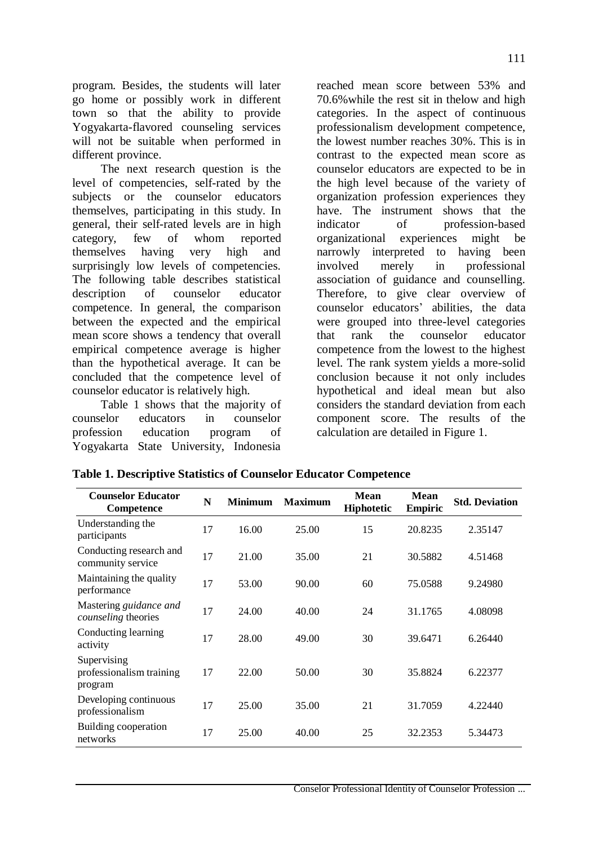program. Besides, the students will later go home or possibly work in different town so that the ability to provide Yogyakarta-flavored counseling services will not be suitable when performed in different province.

The next research question is the level of competencies, self-rated by the subjects or the counselor educators themselves, participating in this study. In general, their self-rated levels are in high category, few of whom reported themselves having very high and surprisingly low levels of competencies. The following table describes statistical description of counselor educator competence. In general, the comparison between the expected and the empirical mean score shows a tendency that overall empirical competence average is higher than the hypothetical average. It can be concluded that the competence level of counselor educator is relatively high.

Table 1 shows that the majority of counselor educators in counselor profession education program of Yogyakarta State University, Indonesia reached mean score between 53% and 70.6%while the rest sit in thelow and high categories. In the aspect of continuous professionalism development competence, the lowest number reaches 30%. This is in contrast to the expected mean score as counselor educators are expected to be in the high level because of the variety of organization profession experiences they have. The instrument shows that the indicator of profession-based organizational experiences might be narrowly interpreted to having been involved merely in professional association of guidance and counselling. Therefore, to give clear overview of counselor educators" abilities, the data were grouped into three-level categories that rank the counselor educator competence from the lowest to the highest level. The rank system yields a more-solid conclusion because it not only includes hypothetical and ideal mean but also considers the standard deviation from each component score. The results of the calculation are detailed in Figure 1.

| <b>Counselor Educator</b><br>Competence            | N  | <b>Minimum</b> | <b>Maximum</b> | <b>Mean</b><br>Hiphotetic | <b>Mean</b><br><b>Empiric</b> | <b>Std. Deviation</b> |
|----------------------------------------------------|----|----------------|----------------|---------------------------|-------------------------------|-----------------------|
| Understanding the<br>participants                  | 17 | 16.00          | 25.00          | 15                        | 20.8235                       | 2.35147               |
| Conducting research and<br>community service       | 17 | 21.00          | 35.00          | 21                        | 30.5882                       | 4.51468               |
| Maintaining the quality<br>performance             | 17 | 53.00          | 90.00          | 60                        | 75.0588                       | 9.24980               |
| Mastering guidance and<br>counseling theories      | 17 | 24.00          | 40.00          | 24                        | 31.1765                       | 4.08098               |
| Conducting learning<br>activity                    | 17 | 28.00          | 49.00          | 30                        | 39.6471                       | 6.26440               |
| Supervising<br>professionalism training<br>program | 17 | 22.00          | 50.00          | 30                        | 35.8824                       | 6.22377               |
| Developing continuous<br>professionalism           | 17 | 25.00          | 35.00          | 21                        | 31.7059                       | 4.22440               |
| Building cooperation<br>networks                   | 17 | 25.00          | 40.00          | 25                        | 32.2353                       | 5.34473               |

### **Table 1. Descriptive Statistics of Counselor Educator Competence**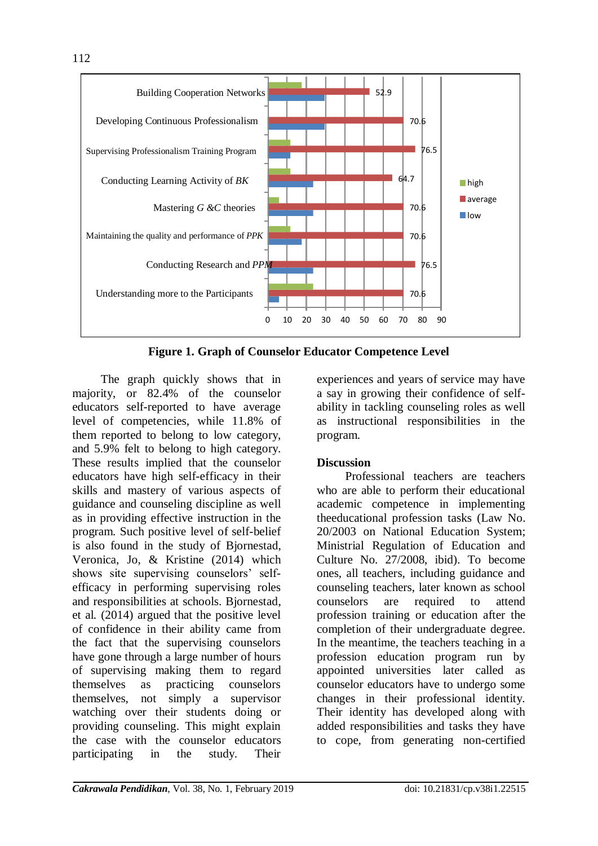

**Figure 1. Graph of Counselor Educator Competence Level**

The graph quickly shows that in majority, or 82.4% of the counselor educators self-reported to have average level of competencies, while 11.8% of them reported to belong to low category, and 5.9% felt to belong to high category. These results implied that the counselor educators have high self-efficacy in their skills and mastery of various aspects of guidance and counseling discipline as well as in providing effective instruction in the program. Such positive level of self-belief is also found in the study of Bjornestad, Veronica, Jo, & Kristine (2014) which shows site supervising counselors' selfefficacy in performing supervising roles and responsibilities at schools. Bjornestad, et al. (2014) argued that the positive level of confidence in their ability came from the fact that the supervising counselors have gone through a large number of hours of supervising making them to regard themselves as practicing counselors themselves, not simply a supervisor watching over their students doing or providing counseling. This might explain the case with the counselor educators participating in the study. Their

experiences and years of service may have a say in growing their confidence of selfability in tackling counseling roles as well as instructional responsibilities in the program.

# **Discussion**

Professional teachers are teachers who are able to perform their educational academic competence in implementing theeducational profession tasks (Law No. 20/2003 on National Education System; Ministrial Regulation of Education and Culture No. 27/2008, ibid). To become ones, all teachers, including guidance and counseling teachers, later known as school counselors are required to attend profession training or education after the completion of their undergraduate degree. In the meantime, the teachers teaching in a profession education program run by appointed universities later called as counselor educators have to undergo some changes in their professional identity. Their identity has developed along with added responsibilities and tasks they have to cope, from generating non-certified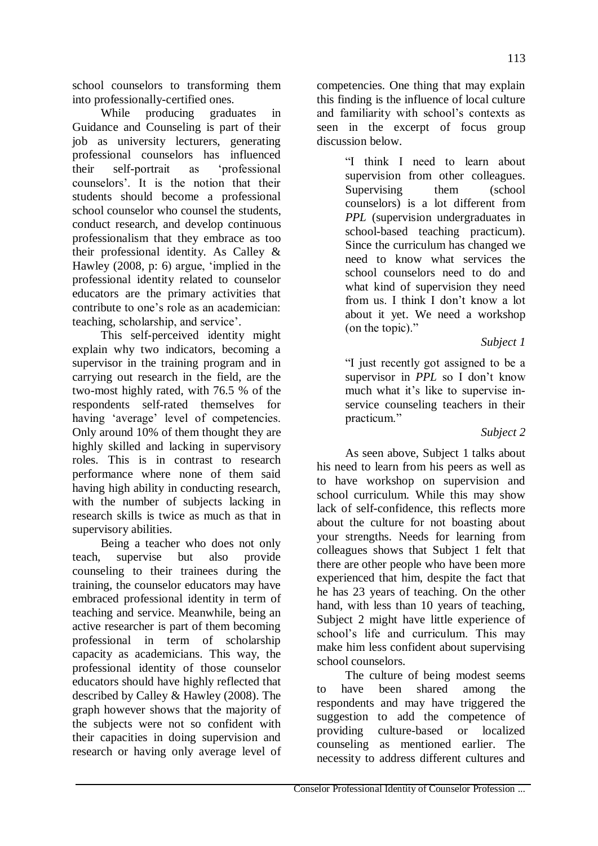school counselors to transforming them into professionally-certified ones.

While producing graduates in Guidance and Counseling is part of their job as university lecturers, generating professional counselors has influenced their self-portrait as "professional counselors". It is the notion that their students should become a professional school counselor who counsel the students, conduct research, and develop continuous professionalism that they embrace as too their professional identity. As Calley & Hawley (2008, p: 6) argue, "implied in the professional identity related to counselor educators are the primary activities that contribute to one"s role as an academician: teaching, scholarship, and service".

This self-perceived identity might explain why two indicators, becoming a supervisor in the training program and in carrying out research in the field, are the two-most highly rated, with 76.5 % of the respondents self-rated themselves for having 'average' level of competencies. Only around 10% of them thought they are highly skilled and lacking in supervisory roles. This is in contrast to research performance where none of them said having high ability in conducting research, with the number of subjects lacking in research skills is twice as much as that in supervisory abilities.

Being a teacher who does not only teach, supervise but also provide counseling to their trainees during the training, the counselor educators may have embraced professional identity in term of teaching and service. Meanwhile, being an active researcher is part of them becoming professional in term of scholarship capacity as academicians. This way, the professional identity of those counselor educators should have highly reflected that described by Calley & Hawley (2008). The graph however shows that the majority of the subjects were not so confident with their capacities in doing supervision and research or having only average level of competencies. One thing that may explain this finding is the influence of local culture and familiarity with school"s contexts as seen in the excerpt of focus group discussion below.

> "I think I need to learn about supervision from other colleagues. Supervising them (school counselors) is a lot different from *PPL* (supervision undergraduates in school-based teaching practicum). Since the curriculum has changed we need to know what services the school counselors need to do and what kind of supervision they need from us. I think I don"t know a lot about it yet. We need a workshop (on the topic)."

### *Subject 1*

"I just recently got assigned to be a supervisor in *PPL* so I don't know much what it's like to supervise inservice counseling teachers in their practicum."

## *Subject 2*

As seen above, Subject 1 talks about his need to learn from his peers as well as to have workshop on supervision and school curriculum. While this may show lack of self-confidence, this reflects more about the culture for not boasting about your strengths. Needs for learning from colleagues shows that Subject 1 felt that there are other people who have been more experienced that him, despite the fact that he has 23 years of teaching. On the other hand, with less than 10 years of teaching, Subject 2 might have little experience of school's life and curriculum. This may make him less confident about supervising school counselors.

The culture of being modest seems to have been shared among the respondents and may have triggered the suggestion to add the competence of providing culture-based or localized counseling as mentioned earlier. The necessity to address different cultures and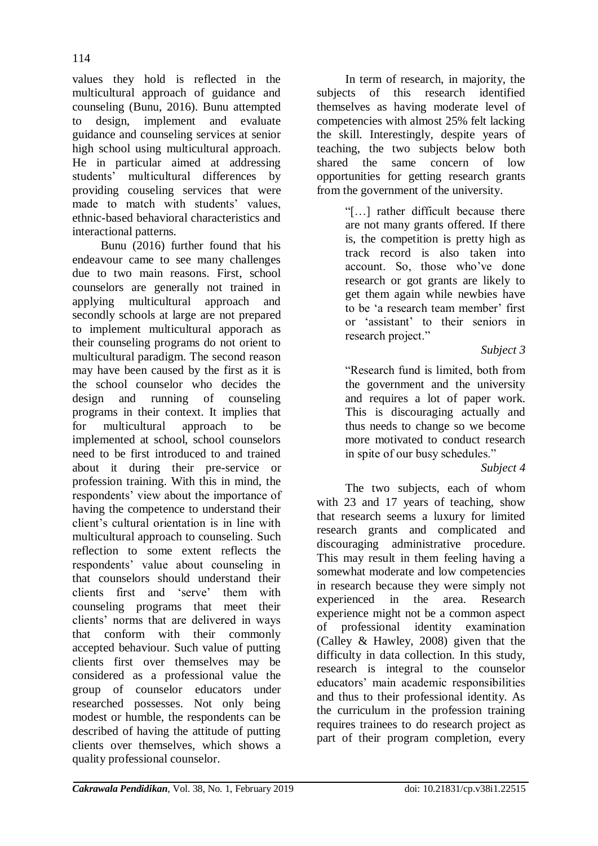values they hold is reflected in the multicultural approach of guidance and counseling (Bunu, 2016). Bunu attempted to design, implement and evaluate guidance and counseling services at senior high school using multicultural approach. He in particular aimed at addressing<br>students' multicultural differences by multicultural differences by providing couseling services that were made to match with students' values, ethnic-based behavioral characteristics and interactional patterns.

Bunu (2016) further found that his endeavour came to see many challenges due to two main reasons. First, school counselors are generally not trained in applying multicultural approach and secondly schools at large are not prepared to implement multicultural apporach as their counseling programs do not orient to multicultural paradigm. The second reason may have been caused by the first as it is the school counselor who decides the design and running of counseling programs in their context. It implies that for multicultural approach to be implemented at school, school counselors need to be first introduced to and trained about it during their pre-service or profession training. With this in mind, the respondents' view about the importance of having the competence to understand their client"s cultural orientation is in line with multicultural approach to counseling. Such reflection to some extent reflects the respondents" value about counseling in that counselors should understand their clients first and "serve" them with counseling programs that meet their clients" norms that are delivered in ways that conform with their commonly accepted behaviour. Such value of putting clients first over themselves may be considered as a professional value the group of counselor educators under researched possesses. Not only being modest or humble, the respondents can be described of having the attitude of putting clients over themselves, which shows a quality professional counselor.

In term of research, in majority, the subjects of this research identified themselves as having moderate level of competencies with almost 25% felt lacking the skill. Interestingly, despite years of teaching, the two subjects below both shared the same concern of low opportunities for getting research grants from the government of the university.

> "[…] rather difficult because there are not many grants offered. If there is, the competition is pretty high as track record is also taken into account. So, those who"ve done research or got grants are likely to get them again while newbies have to be "a research team member" first or "assistant" to their seniors in research project."

### *Subject 3*

"Research fund is limited, both from the government and the university and requires a lot of paper work. This is discouraging actually and thus needs to change so we become more motivated to conduct research in spite of our busy schedules."

## *Subject 4*

The two subjects, each of whom with 23 and 17 years of teaching, show that research seems a luxury for limited research grants and complicated and discouraging administrative procedure. This may result in them feeling having a somewhat moderate and low competencies in research because they were simply not experienced in the area. Research experience might not be a common aspect of professional identity examination (Calley & Hawley, 2008) given that the difficulty in data collection. In this study, research is integral to the counselor educators" main academic responsibilities and thus to their professional identity. As the curriculum in the profession training requires trainees to do research project as part of their program completion, every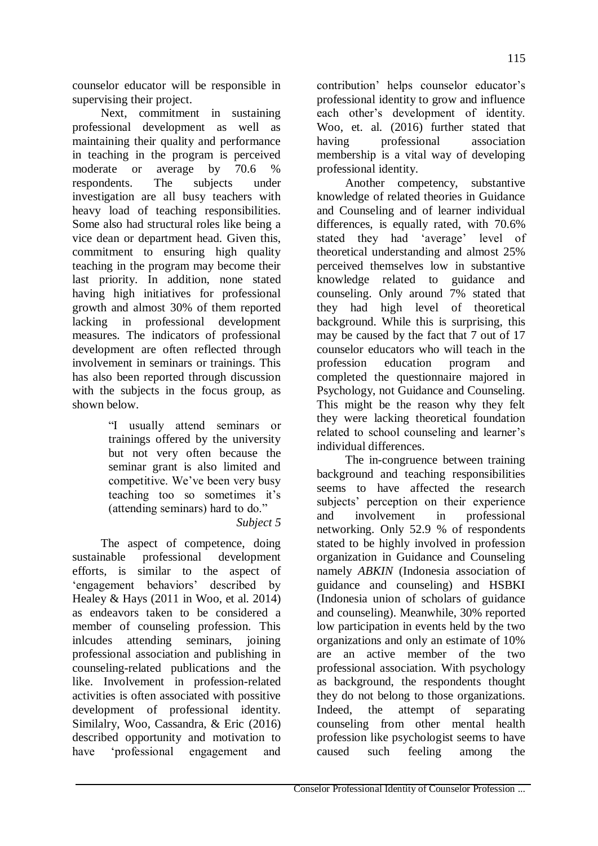counselor educator will be responsible in supervising their project.

Next, commitment in sustaining professional development as well as maintaining their quality and performance in teaching in the program is perceived moderate or average by 70.6 % respondents. The subjects under investigation are all busy teachers with heavy load of teaching responsibilities. Some also had structural roles like being a vice dean or department head. Given this, commitment to ensuring high quality teaching in the program may become their last priority. In addition, none stated having high initiatives for professional growth and almost 30% of them reported lacking in professional development measures. The indicators of professional development are often reflected through involvement in seminars or trainings. This has also been reported through discussion with the subjects in the focus group, as shown below.

> "I usually attend seminars or trainings offered by the university but not very often because the seminar grant is also limited and competitive. We"ve been very busy teaching too so sometimes it"s (attending seminars) hard to do."

## *Subject 5*

The aspect of competence, doing sustainable professional development efforts, is similar to the aspect of "engagement behaviors" described by Healey & Hays (2011 in Woo, et al. 2014) as endeavors taken to be considered a member of counseling profession. This inlcudes attending seminars, joining professional association and publishing in counseling-related publications and the like. Involvement in profession-related activities is often associated with possitive development of professional identity. Similalry, Woo, Cassandra, & Eric (2016) described opportunity and motivation to have "professional engagement and contribution' helps counselor educator's professional identity to grow and influence each other"s development of identity. Woo, et. al. (2016) further stated that having professional association membership is a vital way of developing professional identity.

Another competency, substantive knowledge of related theories in Guidance and Counseling and of learner individual differences, is equally rated, with 70.6% stated they had 'average' level of theoretical understanding and almost 25% perceived themselves low in substantive knowledge related to guidance and counseling. Only around 7% stated that they had high level of theoretical background. While this is surprising, this may be caused by the fact that 7 out of 17 counselor educators who will teach in the profession education program and completed the questionnaire majored in Psychology, not Guidance and Counseling. This might be the reason why they felt they were lacking theoretical foundation related to school counseling and learner's individual differences.

The in-congruence between training background and teaching responsibilities seems to have affected the research subjects' perception on their experience and involvement in professional networking. Only 52.9 % of respondents stated to be highly involved in profession organization in Guidance and Counseling namely *ABKIN* (Indonesia association of guidance and counseling) and HSBKI (Indonesia union of scholars of guidance and counseling). Meanwhile, 30% reported low participation in events held by the two organizations and only an estimate of 10% are an active member of the two professional association. With psychology as background, the respondents thought they do not belong to those organizations. Indeed, the attempt of separating counseling from other mental health profession like psychologist seems to have caused such feeling among the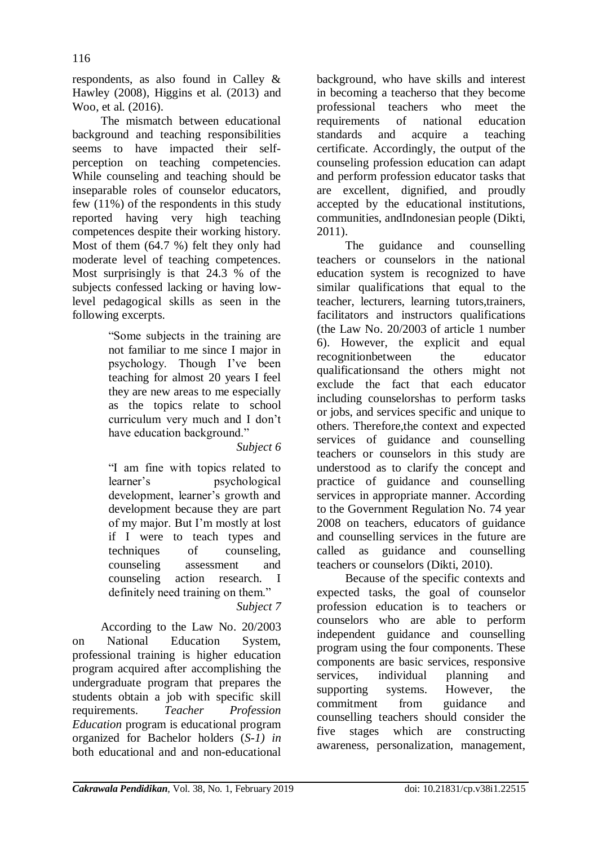respondents, as also found in Calley & Hawley (2008), Higgins et al. (2013) and

Woo, et al. (2016). The mismatch between educational background and teaching responsibilities seems to have impacted their selfperception on teaching competencies. While counseling and teaching should be inseparable roles of counselor educators, few (11%) of the respondents in this study reported having very high teaching competences despite their working history. Most of them (64.7 %) felt they only had moderate level of teaching competences. Most surprisingly is that 24.3 % of the subjects confessed lacking or having lowlevel pedagogical skills as seen in the following excerpts.

> "Some subjects in the training are not familiar to me since I major in psychology. Though I"ve been teaching for almost 20 years I feel they are new areas to me especially as the topics relate to school curriculum very much and I don"t have education background."

## *Subject 6*

"I am fine with topics related to learner"s psychological development, learner"s growth and development because they are part of my major. But I"m mostly at lost if I were to teach types and techniques of counseling, counseling assessment and counseling action research. I definitely need training on them." *Subject 7*

According to the Law No. 20/2003 on National Education System, professional training is higher education program acquired after accomplishing the undergraduate program that prepares the students obtain a job with specific skill requirements. *Teacher Profession Education* program is educational program organized for Bachelor holders (*S-1) in*  both educational and and non-educational background, who have skills and interest in becoming a teacherso that they become professional teachers who meet the requirements of national education standards and acquire a teaching certificate. Accordingly, the output of the counseling profession education can adapt and perform profession educator tasks that are excellent, dignified, and proudly accepted by the educational institutions, communities, andIndonesian people (Dikti, 2011).

The guidance and counselling teachers or counselors in the national education system is recognized to have similar qualifications that equal to the teacher, lecturers, learning tutors,trainers, facilitators and instructors qualifications (the Law No. 20/2003 of article 1 number 6). However, the explicit and equal recognitionbetween the educator qualificationsand the others might not exclude the fact that each educator including counselorshas to perform tasks or jobs, and services specific and unique to others. Therefore,the context and expected services of guidance and counselling teachers or counselors in this study are understood as to clarify the concept and practice of guidance and counselling services in appropriate manner. According to the Government Regulation No. 74 year 2008 on teachers, educators of guidance and counselling services in the future are called as guidance and counselling teachers or counselors (Dikti, 2010).

Because of the specific contexts and expected tasks, the goal of counselor profession education is to teachers or counselors who are able to perform independent guidance and counselling program using the four components. These components are basic services, responsive services, individual planning and supporting systems. However, the commitment from guidance and counselling teachers should consider the five stages which are constructing awareness, personalization, management,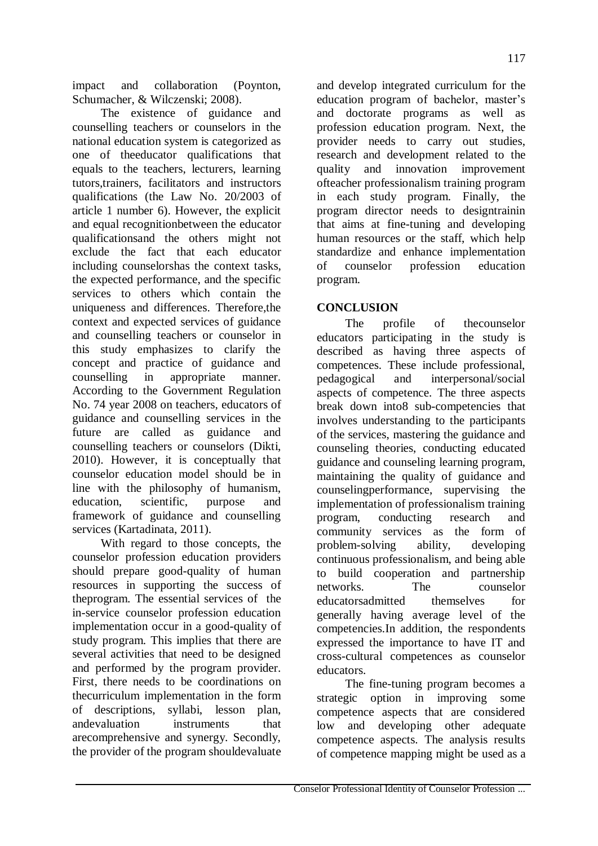impact and collaboration (Poynton, Schumacher, & Wilczenski; 2008).

The existence of guidance and counselling teachers or counselors in the national education system is categorized as one of theeducator qualifications that equals to the teachers, lecturers, learning tutors,trainers, facilitators and instructors qualifications (the Law No. 20/2003 of article 1 number 6). However, the explicit and equal recognitionbetween the educator qualificationsand the others might not exclude the fact that each educator including counselorshas the context tasks, the expected performance, and the specific services to others which contain the uniqueness and differences. Therefore,the context and expected services of guidance and counselling teachers or counselor in this study emphasizes to clarify the concept and practice of guidance and counselling in appropriate manner. According to the Government Regulation No. 74 year 2008 on teachers, educators of guidance and counselling services in the future are called as guidance and counselling teachers or counselors (Dikti, 2010). However, it is conceptually that counselor education model should be in line with the philosophy of humanism, education, scientific, purpose and framework of guidance and counselling services (Kartadinata, 2011).

With regard to those concepts, the counselor profession education providers should prepare good-quality of human resources in supporting the success of theprogram. The essential services of the in-service counselor profession education implementation occur in a good-quality of study program. This implies that there are several activities that need to be designed and performed by the program provider. First, there needs to be coordinations on thecurriculum implementation in the form of descriptions, syllabi, lesson plan, andevaluation instruments that arecomprehensive and synergy. Secondly, the provider of the program shouldevaluate

and develop integrated curriculum for the education program of bachelor, master's and doctorate programs as well as profession education program. Next, the provider needs to carry out studies, research and development related to the quality and innovation improvement ofteacher professionalism training program in each study program. Finally, the program director needs to designtrainin that aims at fine-tuning and developing human resources or the staff, which help standardize and enhance implementation of counselor profession education program.

## **CONCLUSION**

The profile of thecounselor educators participating in the study is described as having three aspects of competences. These include professional, pedagogical and interpersonal/social aspects of competence. The three aspects break down into8 sub-competencies that involves understanding to the participants of the services, mastering the guidance and counseling theories, conducting educated guidance and counseling learning program, maintaining the quality of guidance and counselingperformance, supervising the implementation of professionalism training program, conducting research and community services as the form of problem-solving ability, developing continuous professionalism, and being able to build cooperation and partnership networks. The counselor educatorsadmitted themselves for generally having average level of the competencies.In addition, the respondents expressed the importance to have IT and cross-cultural competences as counselor educators.

The fine-tuning program becomes a strategic option in improving some competence aspects that are considered low and developing other adequate competence aspects. The analysis results of competence mapping might be used as a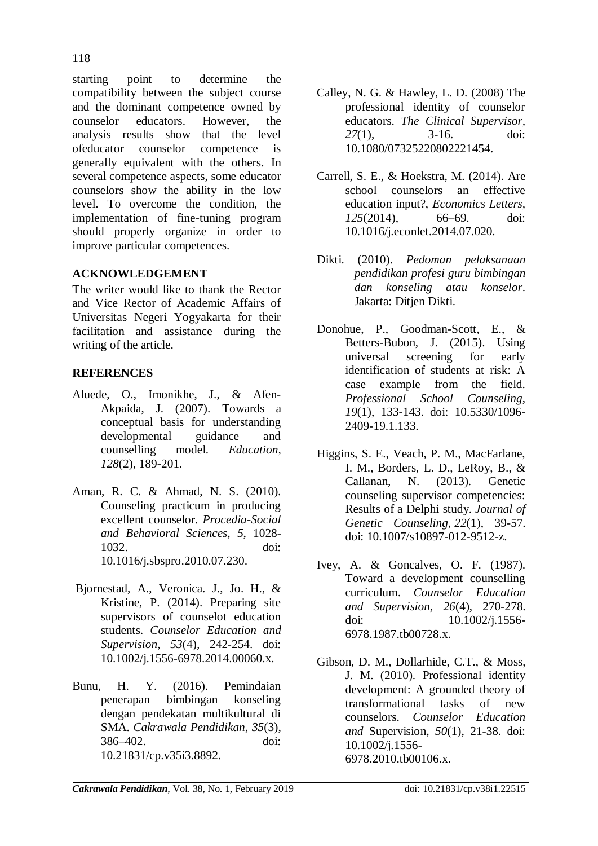starting point to determine the compatibility between the subject course and the dominant competence owned by counselor educators. However, the analysis results show that the level ofeducator counselor competence is generally equivalent with the others. In several competence aspects, some educator counselors show the ability in the low level. To overcome the condition, the implementation of fine-tuning program should properly organize in order to improve particular competences.

# **ACKNOWLEDGEMENT**

The writer would like to thank the Rector and Vice Rector of Academic Affairs of Universitas Negeri Yogyakarta for their facilitation and assistance during the writing of the article.

# **REFERENCES**

- Aluede, O., Imonikhe, J., & Afen-Akpaida, J. (2007). Towards a conceptual basis for understanding developmental guidance and counselling model. *Education, 128*(2), 189-201.
- Aman, R. C. & Ahmad, N. S. (2010). Counseling practicum in producing excellent counselor. *[Procedia-Social](https://www.researchgate.net/journal/1877-0428_Procedia-Social_and_Behavioral_Sciences) and [Behavioral](https://www.researchgate.net/journal/1877-0428_Procedia-Social_and_Behavioral_Sciences) Sciences, 5*, 1028- 1032. doi: 10.1016/j.sbspro.2010.07.230.
- Bjornestad, A., Veronica. J., Jo. H., & Kristine, P. (2014). Preparing site supervisors of counselot education students. *Counselor Education and Supervision*, *53*(4)*,* 242-254. doi: 10.1002/j.1556-6978.2014.00060.x.
- Bunu, H. Y. (2016). Pemindaian penerapan bimbingan konseling dengan pendekatan multikultural di SMA. *Cakrawala Pendidikan*, *35*(3), 386–402. doi: [10.21831/cp.v35i3.8892.](http://dx.doi.org/10.21831/cp.v35i3.8892)
- Calley, N. G. & Hawley, L. D. (2008) The professional identity of counselor educators. *The Clinical Supervisor, 27*(1), 3-16. doi: 10.1080/07325220802221454.
- Carrell, S. E., & Hoekstra, M. (2014). Are school counselors an effective education input?, *Economics Letters, 125*(2014), 66–69. doi: 10.1016/j.econlet.2014.07.020.
- Dikti. (2010). *Pedoman pelaksanaan pendidikan profesi guru bimbingan dan konseling atau konselor*. Jakarta: Ditjen Dikti.
- Donohue, P., Goodman-Scott, E., & Betters-Bubon, J. (2015). Using universal screening for early identification of students at risk: A case example from the field. *Professional School Counseling*, *19*(1), 133-143. doi: [10.5330/1096-](https://doi.org/10.5330%2F1096-2409-19.1.133) [2409-19.1.133.](https://doi.org/10.5330%2F1096-2409-19.1.133)
- Higgins, S. E., Veach, P. M., MacFarlane, I. M., Borders, L. D., LeRoy, B., &<br>Callanan, N. (2013). Genetic Callanan, N. (2013). Genetic counseling supervisor competencies: Results of a Delphi study. *Journal of Genetic Counseling*, *22*(1), 39-57. doi: 10.1007/s10897-012-9512-z.
- Ivey, A. & Goncalves, O. F. (1987). Toward a development counselling curriculum. *Counselor Education and Supervision, 26*(4), 270-278. doi: [10.1002/j.1556-](http://dx.doi.org/10.1002/j.1556-6978.1987.tb00728.x) [6978.1987.tb00728.x.](http://dx.doi.org/10.1002/j.1556-6978.1987.tb00728.x)
- Gibson, D. M., Dollarhide, C.T., & Moss, J. M. (2010). Professional identity development: A grounded theory of transformational tasks of new counselors. *Counselor Education and* Supervision, *50*(1), 21-38. doi: [10.1002/j.1556-](https://psycnet.apa.org/doi/10.1002/j.1556-6978.2010.tb00106.x) [6978.2010.tb00106.x.](https://psycnet.apa.org/doi/10.1002/j.1556-6978.2010.tb00106.x)